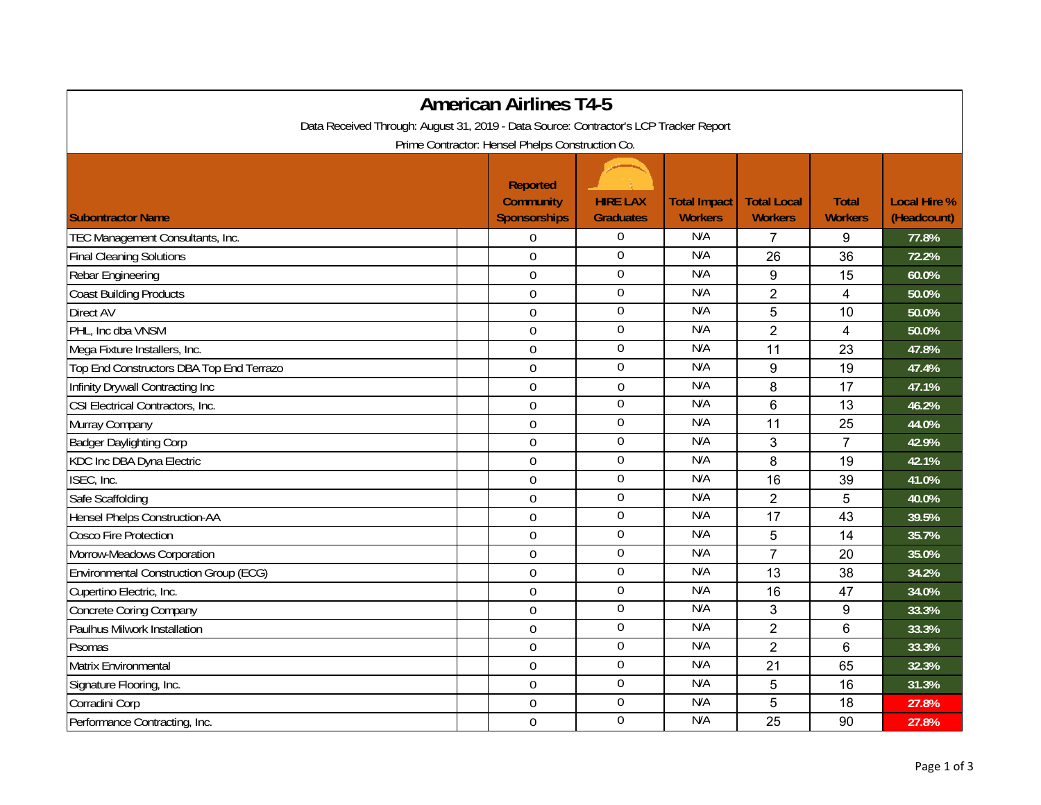| <b>American Airlines T4-5</b>                                                         |                                                            |                                     |                                       |                                      |                                |                                    |  |  |  |
|---------------------------------------------------------------------------------------|------------------------------------------------------------|-------------------------------------|---------------------------------------|--------------------------------------|--------------------------------|------------------------------------|--|--|--|
| Data Received Through: August 31, 2019 - Data Source: Contractor's LCP Tracker Report |                                                            |                                     |                                       |                                      |                                |                                    |  |  |  |
| Prime Contractor: Hensel Phelps Construction Co.                                      |                                                            |                                     |                                       |                                      |                                |                                    |  |  |  |
| <b>Subontractor Name</b>                                                              | <b>Reported</b><br><b>Community</b><br><b>Sponsorships</b> | <b>HIRE LAX</b><br><b>Graduates</b> | <b>Total Impact</b><br><b>Workers</b> | <b>Total Local</b><br><b>Workers</b> | <b>Total</b><br><b>Workers</b> | <b>Local Hire %</b><br>(Headcount) |  |  |  |
| TEC Management Consultants, Inc.                                                      | $\Omega$                                                   | 0                                   | N/A                                   | 7                                    | 9                              | 77.8%                              |  |  |  |
| <b>Final Cleaning Solutions</b>                                                       | $\overline{0}$                                             | $\overline{0}$                      | N/A                                   | 26                                   | 36                             | 72.2%                              |  |  |  |
| Rebar Engineering                                                                     | $\mathbf 0$                                                | 0                                   | N/A                                   | 9                                    | 15                             | 60.0%                              |  |  |  |
| <b>Coast Building Products</b>                                                        | $\overline{0}$                                             | $\overline{0}$                      | N/A                                   | $\overline{2}$                       | $\overline{4}$                 | 50.0%                              |  |  |  |
| Direct AV                                                                             | $\overline{0}$                                             | 0                                   | N/A                                   | 5                                    | 10                             | 50.0%                              |  |  |  |
| PHL, Inc dba VNSM                                                                     | $\boldsymbol{0}$                                           | 0                                   | N/A                                   | $\overline{2}$                       | 4                              | 50.0%                              |  |  |  |
| Mega Fixture Installers, Inc.                                                         | $\mathbf 0$                                                | $\boldsymbol{0}$                    | N/A                                   | 11                                   | 23                             | 47.8%                              |  |  |  |
| Top End Constructors DBA Top End Terrazo                                              | $\overline{0}$                                             | $\overline{0}$                      | N/A                                   | 9                                    | 19                             | 47.4%                              |  |  |  |
| Infinity Drywall Contracting Inc                                                      | $\mathbf 0$                                                | $\boldsymbol{0}$                    | N/A                                   | 8                                    | 17                             | 47.1%                              |  |  |  |
| CSI Electrical Contractors, Inc.                                                      | $\overline{0}$                                             | $\boldsymbol{0}$                    | N/A                                   | 6                                    | 13                             | 46.2%                              |  |  |  |
| Murray Company                                                                        | $\overline{0}$                                             | $\mathbf 0$                         | N/A                                   | 11                                   | 25                             | 44.0%                              |  |  |  |
| <b>Badger Daylighting Corp</b>                                                        | $\boldsymbol{0}$                                           | $\overline{0}$                      | N/A                                   | 3                                    | $\overline{7}$                 | 42.9%                              |  |  |  |
| KDC Inc DBA Dyna Electric                                                             | $\mathbf 0$                                                | $\boldsymbol{0}$                    | N/A                                   | 8                                    | 19                             | 42.1%                              |  |  |  |
| ISEC, Inc.                                                                            | $\mathbf 0$                                                | $\mathbf 0$                         | N/A                                   | 16                                   | 39                             | 41.0%                              |  |  |  |
| Safe Scaffolding                                                                      | $\mathbf 0$                                                | $\mathbf 0$                         | N/A                                   | $\overline{2}$                       | 5                              | 40.0%                              |  |  |  |
| <b>Hensel Phelps Construction-AA</b>                                                  | $\overline{0}$                                             | 0                                   | N/A                                   | 17                                   | 43                             | 39.5%                              |  |  |  |
| <b>Cosco Fire Protection</b>                                                          | $\overline{0}$                                             | 0                                   | N/A                                   | 5                                    | 14                             | 35.7%                              |  |  |  |
| Morrow-Meadows Corporation                                                            | $\overline{0}$                                             | $\mathbf 0$                         | N/A                                   | $\overline{7}$                       | 20                             | 35.0%                              |  |  |  |
| Environmental Construction Group (ECG)                                                | $\boldsymbol{0}$                                           | 0                                   | N/A                                   | 13                                   | 38                             | 34.2%                              |  |  |  |
| Cupertino Electric, Inc.                                                              | $\mathbf 0$                                                | $\boldsymbol{0}$                    | N/A                                   | 16                                   | 47                             | 34.0%                              |  |  |  |
| Concrete Coring Company                                                               | $\overline{0}$                                             | $\overline{0}$                      | N/A                                   | 3                                    | 9                              | 33.3%                              |  |  |  |
| Paulhus Milwork Installation                                                          | $\mathbf 0$                                                | 0                                   | N/A                                   | $\overline{2}$                       | 6                              | 33.3%                              |  |  |  |
| Psomas                                                                                | $\overline{0}$                                             | 0                                   | N/A                                   | $\overline{2}$                       | $6\phantom{1}$                 | 33.3%                              |  |  |  |
| Matrix Environmental                                                                  | $\overline{0}$                                             | $\overline{0}$                      | N/A                                   | 21                                   | 65                             | 32.3%                              |  |  |  |
| Signature Flooring, Inc.                                                              | $\overline{0}$                                             | $\overline{0}$                      | N/A                                   | 5                                    | 16                             | 31.3%                              |  |  |  |
| Corradini Corp                                                                        | $\mathbf 0$                                                | $\boldsymbol{0}$                    | N/A                                   | 5                                    | 18                             | 27.8%                              |  |  |  |
| Performance Contracting, Inc.                                                         | $\mathbf 0$                                                | $\mathbf 0$                         | N/A                                   | 25                                   | 90                             | 27.8%                              |  |  |  |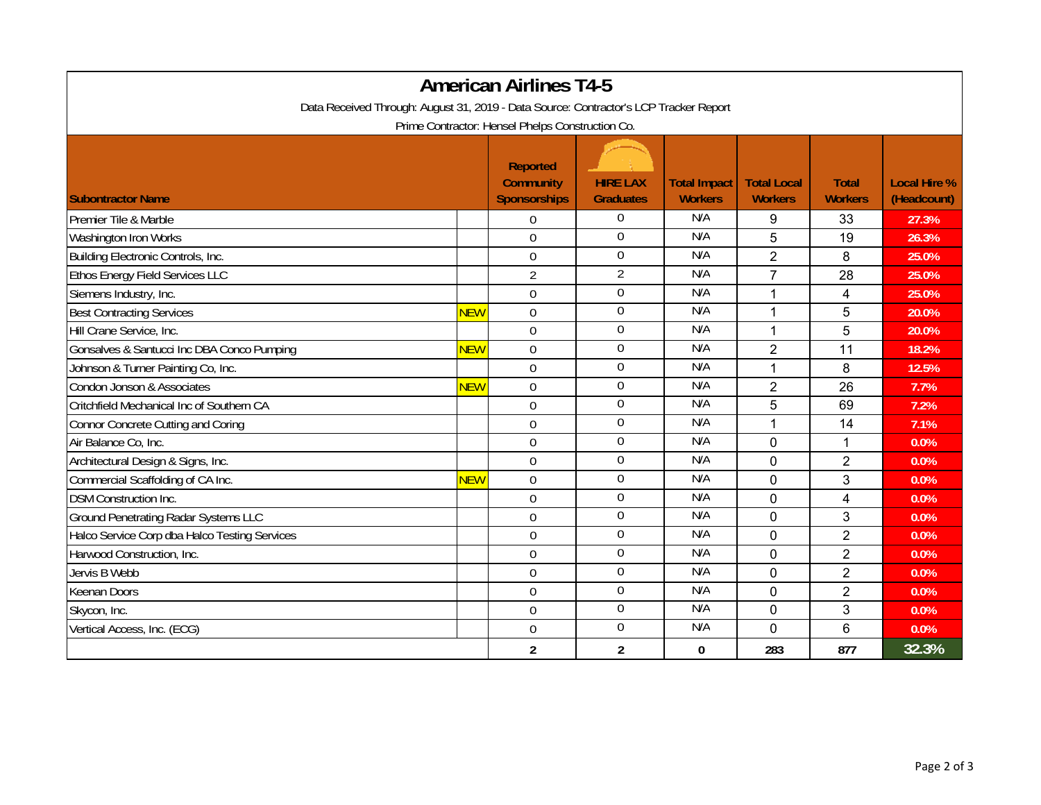| <b>American Airlines T4-5</b>                                                         |            |                                                            |                                     |                                       |                                      |                                |                                    |  |  |  |
|---------------------------------------------------------------------------------------|------------|------------------------------------------------------------|-------------------------------------|---------------------------------------|--------------------------------------|--------------------------------|------------------------------------|--|--|--|
| Data Received Through: August 31, 2019 - Data Source: Contractor's LCP Tracker Report |            |                                                            |                                     |                                       |                                      |                                |                                    |  |  |  |
| Prime Contractor: Hensel Phelps Construction Co.                                      |            |                                                            |                                     |                                       |                                      |                                |                                    |  |  |  |
| <b>Subontractor Name</b>                                                              |            | <b>Reported</b><br><b>Community</b><br><b>Sponsorships</b> | <b>HIRE LAX</b><br><b>Graduates</b> | <b>Total Impact</b><br><b>Workers</b> | <b>Total Local</b><br><b>Workers</b> | <b>Total</b><br><b>Workers</b> | <b>Local Hire %</b><br>(Headcount) |  |  |  |
| Premier Tile & Marble                                                                 |            | $\Omega$                                                   | 0                                   | N/A                                   | 9                                    | 33                             | 27.3%                              |  |  |  |
| Washington Iron Works                                                                 |            | $\Omega$                                                   | 0                                   | N/A                                   | 5                                    | 19                             | 26.3%                              |  |  |  |
| Building Electronic Controls, Inc.                                                    |            | $\overline{0}$                                             | 0                                   | N/A                                   | $\overline{2}$                       | 8                              | 25.0%                              |  |  |  |
| Ethos Energy Field Services LLC                                                       |            | $\overline{2}$                                             | $\overline{2}$                      | N/A                                   | $\overline{7}$                       | 28                             | 25.0%                              |  |  |  |
| Siemens Industry, Inc.                                                                |            | $\mathbf 0$                                                | $\overline{0}$                      | N/A                                   | $\mathbf{1}$                         | $\overline{4}$                 | 25.0%                              |  |  |  |
| <b>Best Contracting Services</b>                                                      | <b>NEW</b> | $\Omega$                                                   | $\boldsymbol{0}$                    | N/A                                   | 1                                    | 5                              | 20.0%                              |  |  |  |
| Hill Crane Service, Inc.                                                              |            | $\overline{0}$                                             | $\boldsymbol{0}$                    | N/A                                   | 1                                    | 5                              | 20.0%                              |  |  |  |
| Gonsalves & Santucci Inc DBA Conco Pumping                                            | <b>NEW</b> | $\overline{0}$                                             | $\mathbf 0$                         | N/A                                   | $\overline{2}$                       | 11                             | 18.2%                              |  |  |  |
| Johnson & Turner Painting Co, Inc.                                                    |            | $\overline{0}$                                             | $\overline{0}$                      | N/A                                   | $\mathbf 1$                          | 8                              | 12.5%                              |  |  |  |
| Condon Jonson & Associates                                                            | <b>NEW</b> | $\mathbf 0$                                                | 0                                   | N/A                                   | $\overline{c}$                       | 26                             | 7.7%                               |  |  |  |
| Critchfield Mechanical Inc of Southern CA                                             |            | $\Omega$                                                   | $\mathbf 0$                         | N/A                                   | 5                                    | 69                             | 7.2%                               |  |  |  |
| <b>Connor Concrete Cutting and Coring</b>                                             |            | $\Omega$                                                   | $\overline{0}$                      | N/A                                   | 1                                    | 14                             | 7.1%                               |  |  |  |
| Air Balance Co, Inc.                                                                  |            | $\mathbf 0$                                                | $\overline{0}$                      | N/A                                   | $\overline{0}$                       | 1                              | 0.0%                               |  |  |  |
| Architectural Design & Signs, Inc.                                                    |            | $\Omega$                                                   | 0                                   | N/A                                   | 0                                    | $\overline{2}$                 | 0.0%                               |  |  |  |
| Commercial Scaffolding of CA Inc.                                                     | <b>NEW</b> | $\overline{0}$                                             | $\mathbf 0$                         | N/A                                   | $\overline{0}$                       | 3                              | 0.0%                               |  |  |  |
| <b>DSM Construction Inc.</b>                                                          |            | $\overline{0}$                                             | $\boldsymbol{0}$                    | N/A                                   | $\overline{0}$                       | $\overline{4}$                 | 0.0%                               |  |  |  |
| <b>Ground Penetrating Radar Systems LLC</b>                                           |            | $\mathbf 0$                                                | $\overline{0}$                      | N/A                                   | 0                                    | 3                              | 0.0%                               |  |  |  |
| Halco Service Corp dba Halco Testing Services                                         |            | $\overline{0}$                                             | $\overline{0}$                      | N/A                                   | $\overline{0}$                       | $\overline{2}$                 | $0.0\%$                            |  |  |  |
| Harwood Construction, Inc.                                                            |            | $\Omega$                                                   | 0                                   | N/A                                   | 0                                    | $\overline{2}$                 | 0.0%                               |  |  |  |
| Jervis B Webb                                                                         |            | $\overline{0}$                                             | 0                                   | N/A                                   | $\overline{0}$                       | $\overline{2}$                 | 0.0%                               |  |  |  |
| Keenan Doors                                                                          |            | $\overline{0}$                                             | $\overline{0}$                      | N/A                                   | $\overline{0}$                       | $\overline{2}$                 | 0.0%                               |  |  |  |
| Skycon, Inc.                                                                          |            | $\overline{0}$                                             | $\boldsymbol{0}$                    | N/A                                   | 0                                    | 3                              | 0.0%                               |  |  |  |
| Vertical Access, Inc. (ECG)                                                           |            | $\mathbf 0$                                                | $\boldsymbol{0}$                    | N/A                                   | 0                                    | $6\phantom{1}$                 | 0.0%                               |  |  |  |
|                                                                                       |            | $\overline{2}$                                             | $\overline{2}$                      | $\mathbf{0}$                          | 283                                  | 877                            | 32.3%                              |  |  |  |